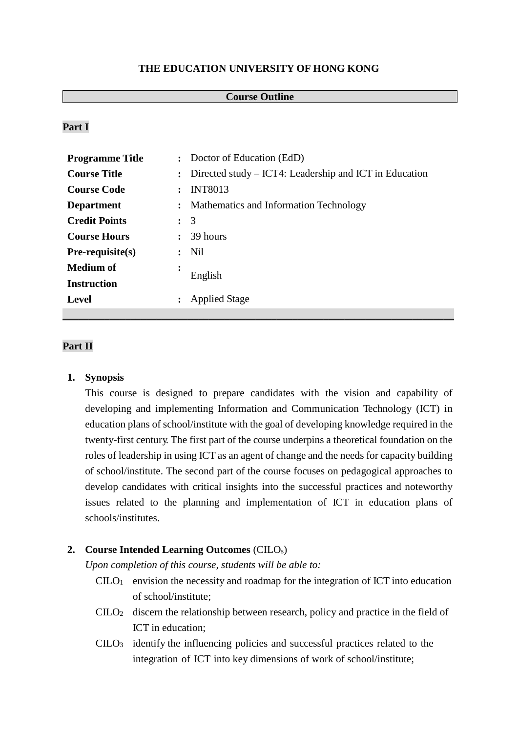#### **THE EDUCATION UNIVERSITY OF HONG KONG**

#### **Course Outline**

# **Part I**

| <b>Programme Title</b> |                      | : Doctor of Education (EdD)                            |  |
|------------------------|----------------------|--------------------------------------------------------|--|
| <b>Course Title</b>    | $\ddot{\phantom{a}}$ | Directed study – ICT4: Leadership and ICT in Education |  |
| <b>Course Code</b>     |                      | <b>INT8013</b>                                         |  |
| <b>Department</b>      | $\ddot{\cdot}$       | Mathematics and Information Technology                 |  |
| <b>Credit Points</b>   | $\ddot{\phantom{a}}$ | 3                                                      |  |
| <b>Course Hours</b>    |                      | 39 hours                                               |  |
| $Pre-requiste(s)$      |                      | Nil                                                    |  |
| <b>Medium of</b>       | ٠                    | English                                                |  |
| <b>Instruction</b>     |                      |                                                        |  |
| <b>Level</b>           |                      | <b>Applied Stage</b>                                   |  |
|                        |                      |                                                        |  |

### **Part II**

#### **1. Synopsis**

This course is designed to prepare candidates with the vision and capability of developing and implementing Information and Communication Technology (ICT) in education plans of school/institute with the goal of developing knowledge required in the twenty-first century. The first part of the course underpins a theoretical foundation on the roles of leadership in using ICT as an agent of change and the needs for capacity building of school/institute. The second part of the course focuses on pedagogical approaches to develop candidates with critical insights into the successful practices and noteworthy issues related to the planning and implementation of ICT in education plans of schools/institutes.

#### **2. Course Intended Learning Outcomes** (CILOs)

*Upon completion of this course, students will be able to:*

- $C I L O<sub>1</sub>$  envision the necessity and roadmap for the integration of ICT into education of school/institute;
- CILO<sup>2</sup> discern the relationship between research, policy and practice in the field of ICT in education;
- $C I L O<sub>3</sub>$  identify the influencing policies and successful practices related to the integration of ICT into key dimensions of work of school/institute;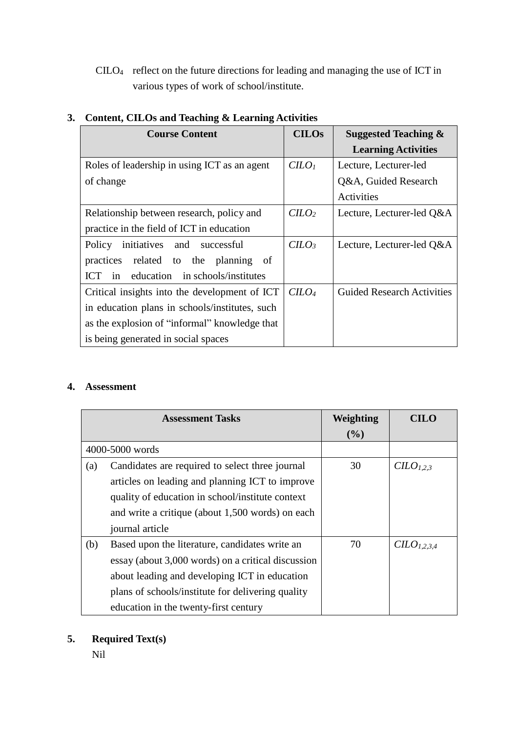CILO<sup>4</sup> reflect on the future directions for leading and managing the use of ICT in various types of work of school/institute.

| <b>Course Content</b>                          | <b>CILOs</b> | <b>Suggested Teaching &amp;</b>   |
|------------------------------------------------|--------------|-----------------------------------|
|                                                |              | <b>Learning Activities</b>        |
| Roles of leadership in using ICT as an agent   | $C$          | Lecture, Lecturer-led             |
| of change                                      |              | Q&A, Guided Research              |
|                                                |              | Activities                        |
| Relationship between research, policy and      | $C$          | Lecture, Lecturer-led Q&A         |
| practice in the field of ICT in education      |              |                                   |
| initiatives and successful<br>Policy           | $C$          | Lecture, Lecturer-led Q&A         |
| related to the planning of<br>practices        |              |                                   |
| ICT in education in schools/institutes         |              |                                   |
| Critical insights into the development of ICT  | $C$          | <b>Guided Research Activities</b> |
| in education plans in schools/institutes, such |              |                                   |
| as the explosion of "informal" knowledge that  |              |                                   |
| is being generated in social spaces            |              |                                   |

# **3. Content, CILOs and Teaching & Learning Activities**

## **4. Assessment**

| <b>Assessment Tasks</b> |                                                    | Weighting | <b>CILO</b>                         |
|-------------------------|----------------------------------------------------|-----------|-------------------------------------|
|                         |                                                    | (%)       |                                     |
|                         | 4000-5000 words                                    |           |                                     |
| (a)                     | Candidates are required to select three journal    | 30        | C <sub>1,2,3</sub>                  |
|                         | articles on leading and planning ICT to improve    |           |                                     |
|                         | quality of education in school/institute context   |           |                                     |
|                         | and write a critique (about 1,500 words) on each   |           |                                     |
|                         | journal article                                    |           |                                     |
| (b)                     | Based upon the literature, candidates write an     | 70        | C <sub>L</sub> O <sub>L,2,3,4</sub> |
|                         | essay (about 3,000 words) on a critical discussion |           |                                     |
|                         | about leading and developing ICT in education      |           |                                     |
|                         | plans of schools/institute for delivering quality  |           |                                     |
|                         | education in the twenty-first century              |           |                                     |

# **5. Required Text(s)**

Nil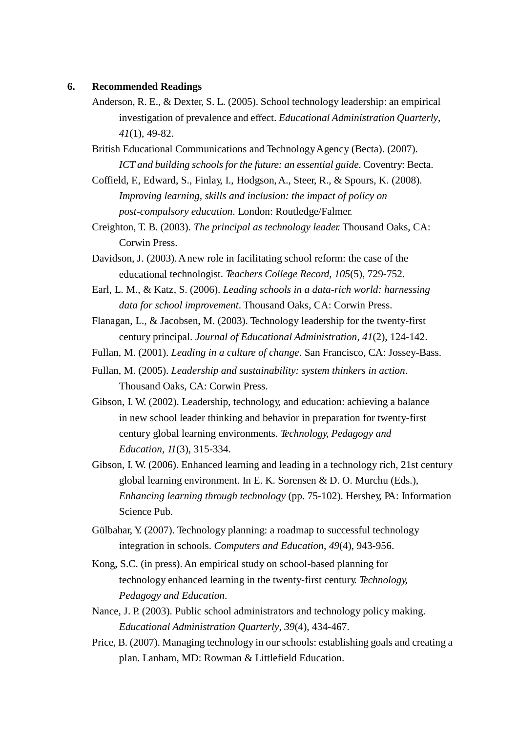#### **6. Recommended Readings**

Anderson, R. E., & Dexter, S. L. (2005). School technology leadership: an empirical investigation of prevalence and effect. *Educational Administration Quarterly*, *41*(1), 49-82.

British Educational Communications and Technology Agency (Becta). (2007). *ICT and building schools for the future: an essential guide.* Coventry: Becta.

- Coffield, F., Edward, S., Finlay, I., Hodgson,A., Steer, R., & Spours, K. (2008). *Improving learning, skills and inclusion: the impact of policy on post-compulsory education*. London: Routledge/Falmer.
- Creighton, T. B. (2003). *The principal as technology leader.* Thousand Oaks, CA: Corwin Press.
- Davidson, J. (2003). A new role in facilitating school reform: the case of the educational technologist. *Teachers College Record*, *105*(5), 729-752.
- Earl, L. M., & Katz, S. (2006). *Leading schools in a data-rich world: harnessing data for school improvement*. Thousand Oaks, CA: Corwin Press.
- Flanagan, L., & Jacobsen, M. (2003). Technology leadership for the twenty-first century principal. *Journal of Educational Administration*, *41*(2), 124-142.
- Fullan, M. (2001). *Leading in a culture of change*. San Francisco, CA: Jossey-Bass.
- Fullan, M. (2005). *Leadership and sustainability: system thinkers in action*. Thousand Oaks, CA: Corwin Press.
- Gibson, I. W. (2002). Leadership, technology, and education: achieving a balance in new school leader thinking and behavior in preparation for twenty-first century global learning environments. *Technology, Pedagogy and Education*, *11*(3), 315-334.
- Gibson, I. W. (2006). Enhanced learning and leading in a technology rich, 21st century global learning environment. In E. K. Sorensen & D. O. Murchu (Eds.), *Enhancing learning through technology* (pp. 75-102). Hershey, PA: Information Science Pub.
- Gülbahar, Y. (2007). Technology planning: a roadmap to successful technology integration in schools. *Computers and Education*, *49*(4), 943-956.
- Kong, S.C. (in press).An empirical study on school-based planning for technology enhanced learning in the twenty-first century. *Technology, Pedagogy and Education*.
- Nance, J. P. (2003). Public school administrators and technology policy making. *Educational Administration Quarterly*, *39*(4), 434-467.
- Price, B. (2007). Managing technology in our schools: establishing goals and creating a plan. Lanham, MD: Rowman & Littlefield Education.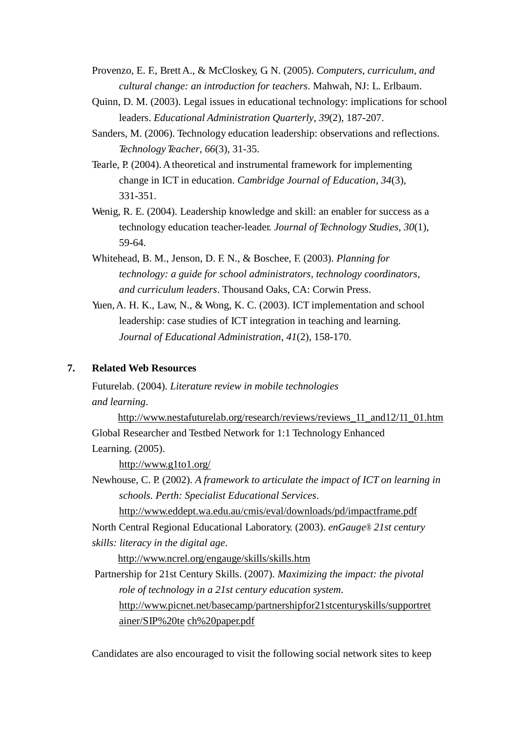- Provenzo, E. F., BrettA., & McCloskey, G. N. (2005). *Computers, curriculum, and cultural change: an introduction for teachers*. Mahwah, NJ: L. Erlbaum.
- Quinn, D. M. (2003). Legal issues in educational technology: implications for school leaders. *Educational Administration Quarterly*, *39*(2), 187-207.
- Sanders, M. (2006). Technology education leadership: observations and reflections. *TechnologyTeacher*, *66*(3), 31-35.
- Tearle, P. (2004). A theoretical and instrumental framework for implementing change in ICT in education. *Cambridge Journal of Education*, *34*(3), 331-351.
- Wenig, R. E. (2004). Leadership knowledge and skill: an enabler for success as a technology education teacher-leader. *Journal of Technology Studies*, *30*(1), 59-64.
- Whitehead, B. M., Jenson, D. F. N., & Boschee, F. (2003). *Planning for technology: a guide for school administrators, technology coordinators, and curriculum leaders*. Thousand Oaks, CA: Corwin Press.
- Yuen, A. H. K., Law, N., & Wong, K. C. (2003). ICT implementation and school leadership: case studies of ICT integration in teaching and learning. *Journal of Educational Administration*, *41*(2), 158-170.

### **7. Related Web Resources**

Futurelab. (2004). *Literature review in mobile technologies and learning*.

[http://www.nestafuturelab.org/research/reviews/reviews\\_11\\_and12/11\\_01.htm](http://www.nestafuturelab.org/research/reviews/reviews_11_and12/11_01.htm) Global Researcher and Testbed Network for 1:1 Technology Enhanced Learning. (2005).

<http://www.g1to1.org/>

Newhouse, C. P. (2002). *A framework to articulate the impact of ICT on learning in schools. Perth: Specialist Educational Services*.

<http://www.eddept.wa.edu.au/cmis/eval/downloads/pd/impactframe.pdf>

North Central Regional Educational Laboratory. (2003). *enGauge® 21st century skills: literacy in the digital age*.

<http://www.ncrel.org/engauge/skills/skills.htm>

Partnership for 21st Century Skills. (2007). *Maximizing the impact: the pivotal role of technology in a 21st century education system*. [http://www.picnet.net/basecamp/partnershipfor21stcenturyskills/supportret](http://www.picnet.net/basecamp/partnershipfor21stcenturyskills/supportretainer/SIP%20tech%20paper.pdf) [ainer/SIP%2](http://www.picnet.net/basecamp/partnershipfor21stcenturyskills/supportretainer/SIP%20tech%20paper.pdf)0te [ch%20paper.pdf](http://www.picnet.net/basecamp/partnershipfor21stcenturyskills/supportretainer/SIP%20tech%20paper.pdf)

Candidates are also encouraged to visit the following social network sites to keep